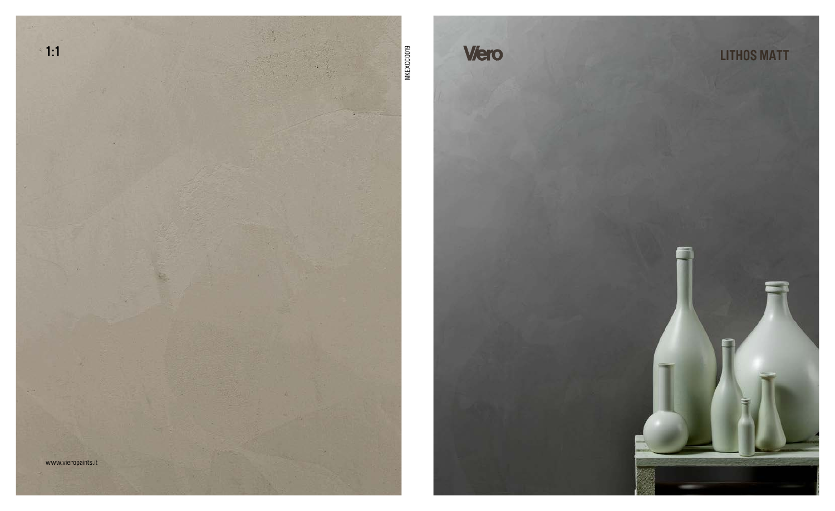